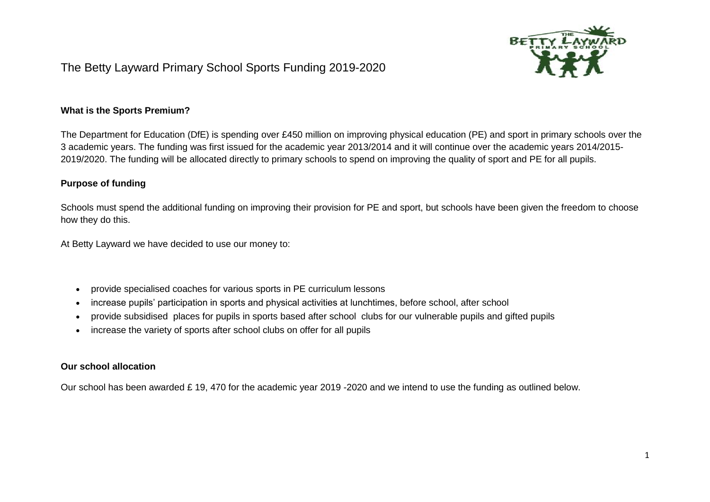

## The Betty Layward Primary School Sports Funding 2019-2020

## **What is the Sports Premium?**

The Department for Education (DfE) is spending over £450 million on improving physical education (PE) and sport in primary schools over the 3 academic years. The funding was first issued for the academic year 2013/2014 and it will continue over the academic years 2014/2015- 2019/2020. The funding will be allocated directly to primary schools to spend on improving the quality of sport and PE for all pupils.

## **Purpose of funding**

Schools must spend the additional funding on improving their provision for PE and sport, but schools have been given the freedom to choose how they do this.

At Betty Layward we have decided to use our money to:

- provide specialised coaches for various sports in PE curriculum lessons
- increase pupils' participation in sports and physical activities at lunchtimes, before school, after school
- provide subsidised places for pupils in sports based after school clubs for our vulnerable pupils and gifted pupils
- increase the variety of sports after school clubs on offer for all pupils

## **Our school allocation**

Our school has been awarded £ 19, 470 for the academic year 2019 -2020 and we intend to use the funding as outlined below.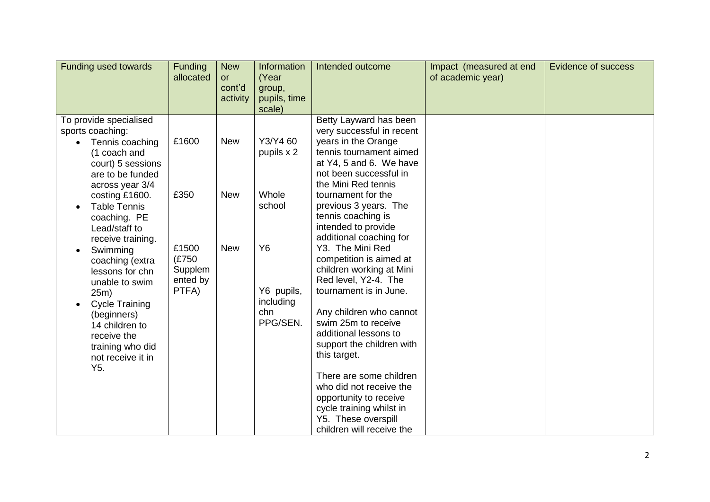| Funding used towards                                                                                                                                                                                                                                                                                                                                                                                                                                                    | <b>Funding</b><br>allocated                                     | <b>New</b><br>or<br>cont'd<br>activity | Information<br>(Year<br>group,<br>pupils, time<br>scale)                                      | Intended outcome                                                                                                                                                                                                                                                                                                                                                                                                                                                                                                                                                                                                                                                                                                              | Impact (measured at end<br>of academic year) | <b>Evidence of success</b> |
|-------------------------------------------------------------------------------------------------------------------------------------------------------------------------------------------------------------------------------------------------------------------------------------------------------------------------------------------------------------------------------------------------------------------------------------------------------------------------|-----------------------------------------------------------------|----------------------------------------|-----------------------------------------------------------------------------------------------|-------------------------------------------------------------------------------------------------------------------------------------------------------------------------------------------------------------------------------------------------------------------------------------------------------------------------------------------------------------------------------------------------------------------------------------------------------------------------------------------------------------------------------------------------------------------------------------------------------------------------------------------------------------------------------------------------------------------------------|----------------------------------------------|----------------------------|
| To provide specialised<br>sports coaching:<br>Tennis coaching<br>(1 coach and<br>court) 5 sessions<br>are to be funded<br>across year 3/4<br>costing £1600.<br><b>Table Tennis</b><br>$\bullet$<br>coaching. PE<br>Lead/staff to<br>receive training.<br>Swimming<br>$\bullet$<br>coaching (extra<br>lessons for chn<br>unable to swim<br>25m)<br><b>Cycle Training</b><br>(beginners)<br>14 children to<br>receive the<br>training who did<br>not receive it in<br>Y5. | £1600<br>£350<br>£1500<br>(£750<br>Supplem<br>ented by<br>PTFA) | <b>New</b><br><b>New</b><br><b>New</b> | Y3/Y4 60<br>pupils x 2<br>Whole<br>school<br>Y6<br>Y6 pupils,<br>including<br>chn<br>PPG/SEN. | Betty Layward has been<br>very successful in recent<br>years in the Orange<br>tennis tournament aimed<br>at Y4, 5 and 6. We have<br>not been successful in<br>the Mini Red tennis<br>tournament for the<br>previous 3 years. The<br>tennis coaching is<br>intended to provide<br>additional coaching for<br>Y3. The Mini Red<br>competition is aimed at<br>children working at Mini<br>Red level, Y2-4. The<br>tournament is in June.<br>Any children who cannot<br>swim 25m to receive<br>additional lessons to<br>support the children with<br>this target.<br>There are some children<br>who did not receive the<br>opportunity to receive<br>cycle training whilst in<br>Y5. These overspill<br>children will receive the |                                              |                            |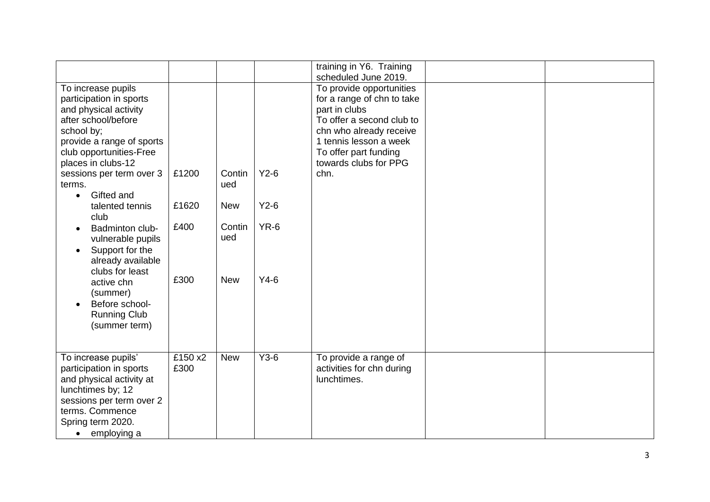|                           |         |            |        | training in Y6. Training   |  |
|---------------------------|---------|------------|--------|----------------------------|--|
|                           |         |            |        | scheduled June 2019.       |  |
|                           |         |            |        | To provide opportunities   |  |
| To increase pupils        |         |            |        |                            |  |
| participation in sports   |         |            |        | for a range of chn to take |  |
| and physical activity     |         |            |        | part in clubs              |  |
| after school/before       |         |            |        | To offer a second club to  |  |
| school by;                |         |            |        | chn who already receive    |  |
| provide a range of sports |         |            |        | 1 tennis lesson a week     |  |
| club opportunities-Free   |         |            |        | To offer part funding      |  |
| places in clubs-12        |         |            |        | towards clubs for PPG      |  |
| sessions per term over 3  | £1200   | Contin     | $Y2-6$ | chn.                       |  |
| terms.                    |         | ued        |        |                            |  |
| Gifted and<br>$\bullet$   |         |            |        |                            |  |
| talented tennis           | £1620   | <b>New</b> | $Y2-6$ |                            |  |
| club                      |         |            |        |                            |  |
|                           | £400    | Contin     | $YR-6$ |                            |  |
| Badminton club-           |         |            |        |                            |  |
| vulnerable pupils         |         | ued        |        |                            |  |
| Support for the           |         |            |        |                            |  |
| already available         |         |            |        |                            |  |
| clubs for least           |         |            |        |                            |  |
| active chn                | £300    | <b>New</b> | $Y4-6$ |                            |  |
| (summer)                  |         |            |        |                            |  |
| Before school-            |         |            |        |                            |  |
| <b>Running Club</b>       |         |            |        |                            |  |
| (summer term)             |         |            |        |                            |  |
|                           |         |            |        |                            |  |
|                           |         |            |        |                            |  |
|                           | £150 x2 |            | $Y3-6$ |                            |  |
| To increase pupils'       |         | <b>New</b> |        | To provide a range of      |  |
| participation in sports   | £300    |            |        | activities for chn during  |  |
| and physical activity at  |         |            |        | lunchtimes.                |  |
| lunchtimes by; 12         |         |            |        |                            |  |
| sessions per term over 2  |         |            |        |                            |  |
| terms. Commence           |         |            |        |                            |  |
| Spring term 2020.         |         |            |        |                            |  |
| employing a<br>$\bullet$  |         |            |        |                            |  |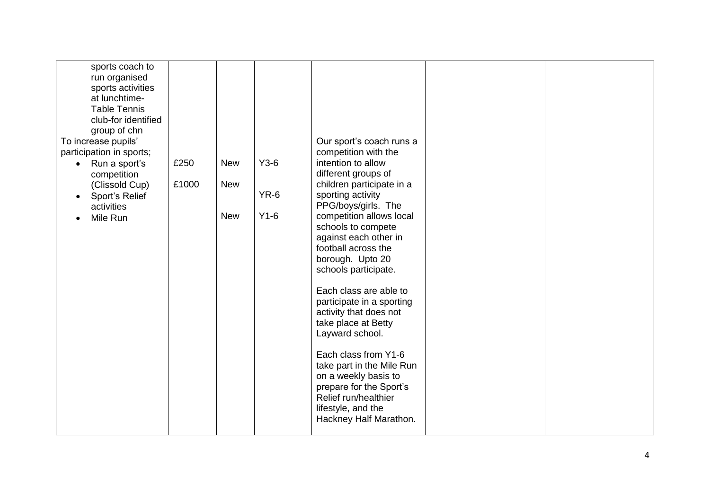| sports coach to<br>run organised<br>sports activities<br>at lunchtime-<br><b>Table Tennis</b><br>club-for identified<br>group of chn |       |            |        |                                                                                                                                                                              |  |
|--------------------------------------------------------------------------------------------------------------------------------------|-------|------------|--------|------------------------------------------------------------------------------------------------------------------------------------------------------------------------------|--|
| To increase pupils'<br>participation in sports;<br>Run a sport's<br>$\bullet$<br>competition                                         | £250  | <b>New</b> | $Y3-6$ | Our sport's coach runs a<br>competition with the<br>intention to allow<br>different groups of                                                                                |  |
| (Clissold Cup)<br>Sport's Relief<br>activities                                                                                       | £1000 | <b>New</b> | $YR-6$ | children participate in a<br>sporting activity<br>PPG/boys/girls. The                                                                                                        |  |
| Mile Run                                                                                                                             |       | <b>New</b> | $Y1-6$ | competition allows local<br>schools to compete<br>against each other in<br>football across the<br>borough. Upto 20<br>schools participate.                                   |  |
|                                                                                                                                      |       |            |        | Each class are able to<br>participate in a sporting<br>activity that does not<br>take place at Betty<br>Layward school.                                                      |  |
|                                                                                                                                      |       |            |        | Each class from Y1-6<br>take part in the Mile Run<br>on a weekly basis to<br>prepare for the Sport's<br>Relief run/healthier<br>lifestyle, and the<br>Hackney Half Marathon. |  |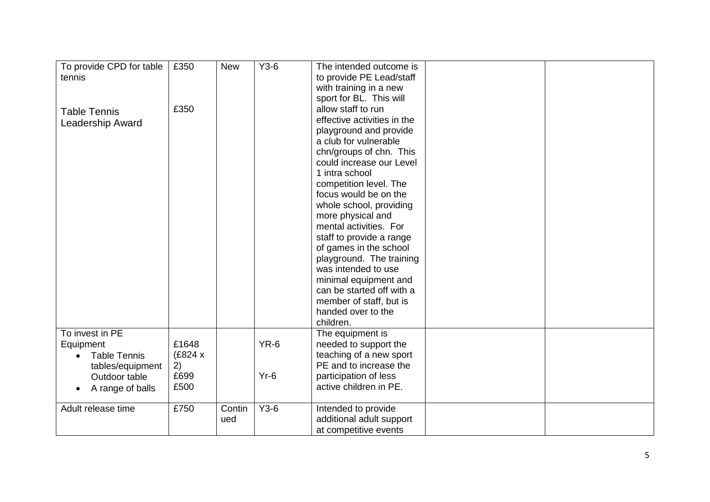| To provide CPD for table | £350    | <b>New</b> | $Y3-6$ | The intended outcome is     |  |
|--------------------------|---------|------------|--------|-----------------------------|--|
| tennis                   |         |            |        | to provide PE Lead/staff    |  |
|                          |         |            |        | with training in a new      |  |
|                          |         |            |        |                             |  |
|                          |         |            |        | sport for BL. This will     |  |
| <b>Table Tennis</b>      | £350    |            |        | allow staff to run          |  |
| <b>Leadership Award</b>  |         |            |        | effective activities in the |  |
|                          |         |            |        | playground and provide      |  |
|                          |         |            |        | a club for vulnerable       |  |
|                          |         |            |        | chn/groups of chn. This     |  |
|                          |         |            |        | could increase our Level    |  |
|                          |         |            |        | 1 intra school              |  |
|                          |         |            |        | competition level. The      |  |
|                          |         |            |        | focus would be on the       |  |
|                          |         |            |        | whole school, providing     |  |
|                          |         |            |        | more physical and           |  |
|                          |         |            |        | mental activities. For      |  |
|                          |         |            |        | staff to provide a range    |  |
|                          |         |            |        | of games in the school      |  |
|                          |         |            |        | playground. The training    |  |
|                          |         |            |        | was intended to use         |  |
|                          |         |            |        | minimal equipment and       |  |
|                          |         |            |        | can be started off with a   |  |
|                          |         |            |        | member of staff, but is     |  |
|                          |         |            |        | handed over to the          |  |
|                          |         |            |        |                             |  |
|                          |         |            |        | children.                   |  |
| To invest in PE          |         |            |        | The equipment is            |  |
| Equipment                | £1648   |            | $YR-6$ | needed to support the       |  |
| <b>Table Tennis</b>      | (£824 x |            |        | teaching of a new sport     |  |
| tables/equipment         | 2)      |            |        | PE and to increase the      |  |
| Outdoor table            | £699    |            | $Yr-6$ | participation of less       |  |
| A range of balls         | £500    |            |        | active children in PE.      |  |
|                          |         |            |        |                             |  |
| Adult release time       | £750    | Contin     | $Y3-6$ | Intended to provide         |  |
|                          |         | ued        |        | additional adult support    |  |
|                          |         |            |        | at competitive events       |  |